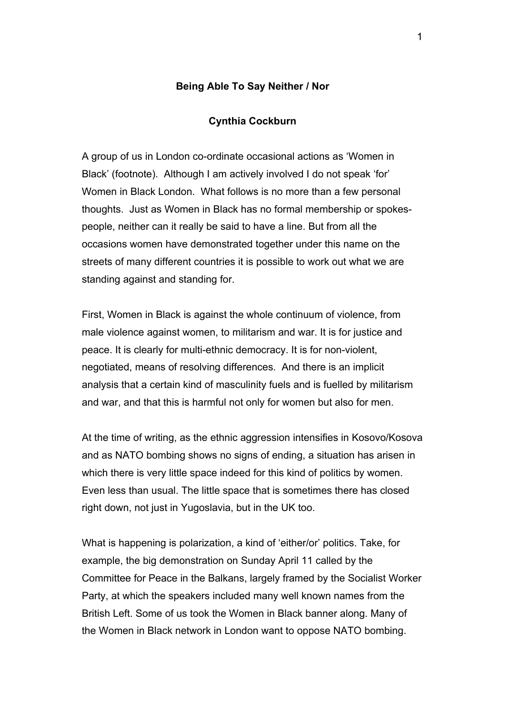## **Being Able To Say Neither / Nor**

## **Cynthia Cockburn**

A group of us in London co-ordinate occasional actions as 'Women in Black' (footnote). Although I am actively involved I do not speak 'for' Women in Black London. What follows is no more than a few personal thoughts. Just as Women in Black has no formal membership or spokespeople, neither can it really be said to have a line. But from all the occasions women have demonstrated together under this name on the streets of many different countries it is possible to work out what we are standing against and standing for.

First, Women in Black is against the whole continuum of violence, from male violence against women, to militarism and war. It is for justice and peace. It is clearly for multi-ethnic democracy. It is for non-violent, negotiated, means of resolving differences. And there is an implicit analysis that a certain kind of masculinity fuels and is fuelled by militarism and war, and that this is harmful not only for women but also for men.

At the time of writing, as the ethnic aggression intensifies in Kosovo/Kosova and as NATO bombing shows no signs of ending, a situation has arisen in which there is very little space indeed for this kind of politics by women. Even less than usual. The little space that is sometimes there has closed right down, not just in Yugoslavia, but in the UK too.

What is happening is polarization, a kind of 'either/or' politics. Take, for example, the big demonstration on Sunday April 11 called by the Committee for Peace in the Balkans, largely framed by the Socialist Worker Party, at which the speakers included many well known names from the British Left. Some of us took the Women in Black banner along. Many of the Women in Black network in London want to oppose NATO bombing.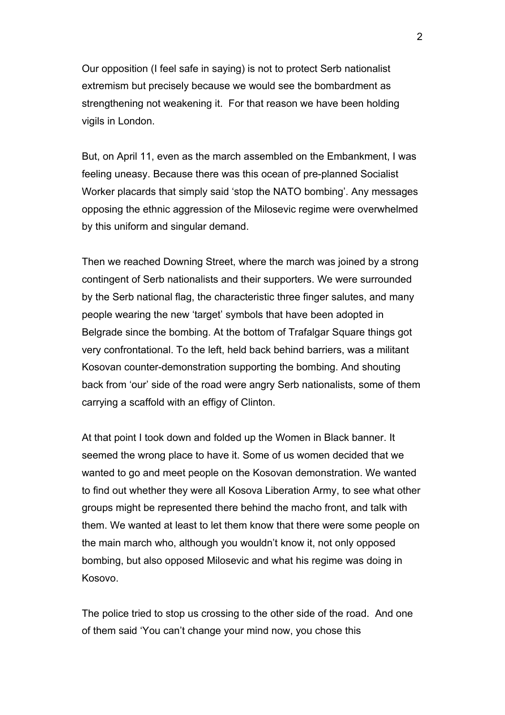Our opposition (I feel safe in saying) is not to protect Serb nationalist extremism but precisely because we would see the bombardment as strengthening not weakening it. For that reason we have been holding vigils in London.

But, on April 11, even as the march assembled on the Embankment, I was feeling uneasy. Because there was this ocean of pre-planned Socialist Worker placards that simply said 'stop the NATO bombing'. Any messages opposing the ethnic aggression of the Milosevic regime were overwhelmed by this uniform and singular demand.

Then we reached Downing Street, where the march was joined by a strong contingent of Serb nationalists and their supporters. We were surrounded by the Serb national flag, the characteristic three finger salutes, and many people wearing the new 'target' symbols that have been adopted in Belgrade since the bombing. At the bottom of Trafalgar Square things got very confrontational. To the left, held back behind barriers, was a militant Kosovan counter-demonstration supporting the bombing. And shouting back from 'our' side of the road were angry Serb nationalists, some of them carrying a scaffold with an effigy of Clinton.

At that point I took down and folded up the Women in Black banner. It seemed the wrong place to have it. Some of us women decided that we wanted to go and meet people on the Kosovan demonstration. We wanted to find out whether they were all Kosova Liberation Army, to see what other groups might be represented there behind the macho front, and talk with them. We wanted at least to let them know that there were some people on the main march who, although you wouldn't know it, not only opposed bombing, but also opposed Milosevic and what his regime was doing in Kosovo.

The police tried to stop us crossing to the other side of the road. And one of them said 'You can't change your mind now, you chose this

 $\mathcal{P}$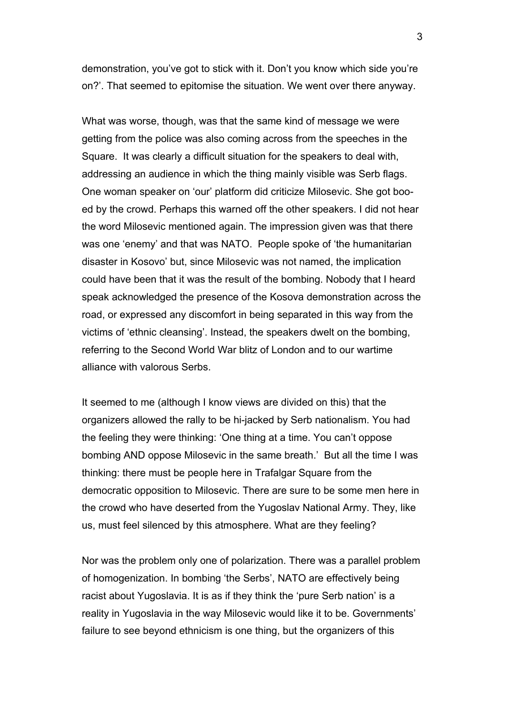demonstration, you've got to stick with it. Don't you know which side you're on?'. That seemed to epitomise the situation. We went over there anyway.

What was worse, though, was that the same kind of message we were getting from the police was also coming across from the speeches in the Square. It was clearly a difficult situation for the speakers to deal with, addressing an audience in which the thing mainly visible was Serb flags. One woman speaker on 'our' platform did criticize Milosevic. She got booed by the crowd. Perhaps this warned off the other speakers. I did not hear the word Milosevic mentioned again. The impression given was that there was one 'enemy' and that was NATO. People spoke of 'the humanitarian disaster in Kosovo' but, since Milosevic was not named, the implication could have been that it was the result of the bombing. Nobody that I heard speak acknowledged the presence of the Kosova demonstration across the road, or expressed any discomfort in being separated in this way from the victims of 'ethnic cleansing'. Instead, the speakers dwelt on the bombing, referring to the Second World War blitz of London and to our wartime alliance with valorous Serbs.

It seemed to me (although I know views are divided on this) that the organizers allowed the rally to be hi-jacked by Serb nationalism. You had the feeling they were thinking: 'One thing at a time. You can't oppose bombing AND oppose Milosevic in the same breath.' But all the time I was thinking: there must be people here in Trafalgar Square from the democratic opposition to Milosevic. There are sure to be some men here in the crowd who have deserted from the Yugoslav National Army. They, like us, must feel silenced by this atmosphere. What are they feeling?

Nor was the problem only one of polarization. There was a parallel problem of homogenization. In bombing 'the Serbs', NATO are effectively being racist about Yugoslavia. It is as if they think the 'pure Serb nation' is a reality in Yugoslavia in the way Milosevic would like it to be. Governments' failure to see beyond ethnicism is one thing, but the organizers of this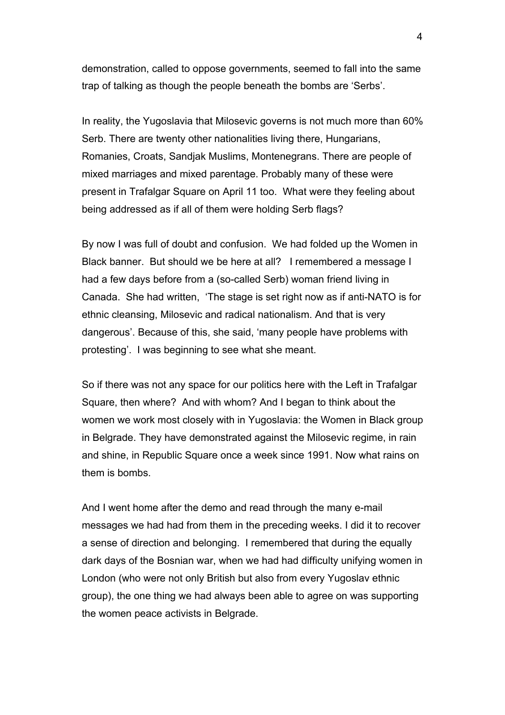demonstration, called to oppose governments, seemed to fall into the same trap of talking as though the people beneath the bombs are 'Serbs'.

In reality, the Yugoslavia that Milosevic governs is not much more than 60% Serb. There are twenty other nationalities living there, Hungarians, Romanies, Croats, Sandjak Muslims, Montenegrans. There are people of mixed marriages and mixed parentage. Probably many of these were present in Trafalgar Square on April 11 too. What were they feeling about being addressed as if all of them were holding Serb flags?

By now I was full of doubt and confusion. We had folded up the Women in Black banner. But should we be here at all? I remembered a message I had a few days before from a (so-called Serb) woman friend living in Canada. She had written, 'The stage is set right now as if anti-NATO is for ethnic cleansing, Milosevic and radical nationalism. And that is very dangerous'. Because of this, she said, 'many people have problems with protesting'. I was beginning to see what she meant.

So if there was not any space for our politics here with the Left in Trafalgar Square, then where? And with whom? And I began to think about the women we work most closely with in Yugoslavia: the Women in Black group in Belgrade. They have demonstrated against the Milosevic regime, in rain and shine, in Republic Square once a week since 1991. Now what rains on them is bombs.

And I went home after the demo and read through the many e-mail messages we had had from them in the preceding weeks. I did it to recover a sense of direction and belonging. I remembered that during the equally dark days of the Bosnian war, when we had had difficulty unifying women in London (who were not only British but also from every Yugoslav ethnic group), the one thing we had always been able to agree on was supporting the women peace activists in Belgrade.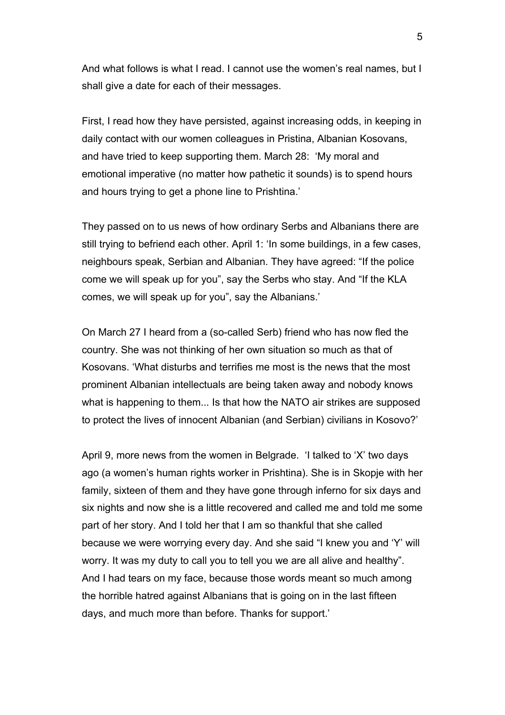And what follows is what I read. I cannot use the women's real names, but I shall give a date for each of their messages.

First, I read how they have persisted, against increasing odds, in keeping in daily contact with our women colleagues in Pristina, Albanian Kosovans, and have tried to keep supporting them. March 28: 'My moral and emotional imperative (no matter how pathetic it sounds) is to spend hours and hours trying to get a phone line to Prishtina.'

They passed on to us news of how ordinary Serbs and Albanians there are still trying to befriend each other. April 1: 'In some buildings, in a few cases, neighbours speak, Serbian and Albanian. They have agreed: "If the police come we will speak up for you", say the Serbs who stay. And "If the KLA comes, we will speak up for you", say the Albanians.'

On March 27 I heard from a (so-called Serb) friend who has now fled the country. She was not thinking of her own situation so much as that of Kosovans. 'What disturbs and terrifies me most is the news that the most prominent Albanian intellectuals are being taken away and nobody knows what is happening to them... Is that how the NATO air strikes are supposed to protect the lives of innocent Albanian (and Serbian) civilians in Kosovo?'

April 9, more news from the women in Belgrade. 'I talked to 'X' two days ago (a women's human rights worker in Prishtina). She is in Skopje with her family, sixteen of them and they have gone through inferno for six days and six nights and now she is a little recovered and called me and told me some part of her story. And I told her that I am so thankful that she called because we were worrying every day. And she said "I knew you and 'Y' will worry. It was my duty to call you to tell you we are all alive and healthy". And I had tears on my face, because those words meant so much among the horrible hatred against Albanians that is going on in the last fifteen days, and much more than before. Thanks for support.'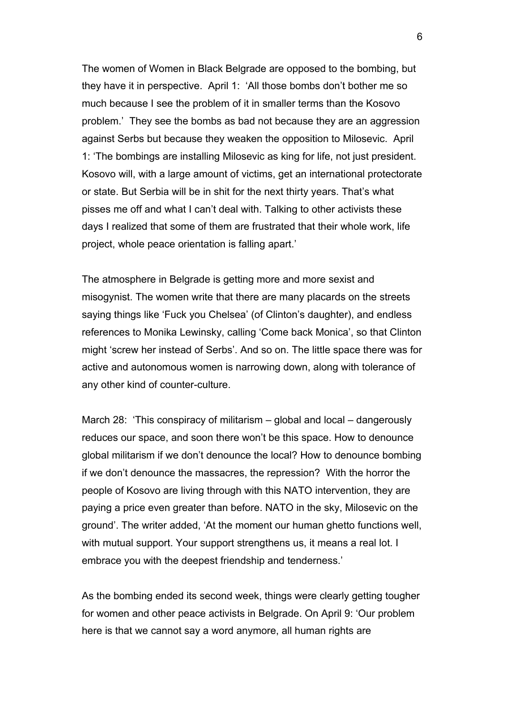The women of Women in Black Belgrade are opposed to the bombing, but they have it in perspective. April 1: 'All those bombs don't bother me so much because I see the problem of it in smaller terms than the Kosovo problem.' They see the bombs as bad not because they are an aggression against Serbs but because they weaken the opposition to Milosevic. April 1: 'The bombings are installing Milosevic as king for life, not just president. Kosovo will, with a large amount of victims, get an international protectorate or state. But Serbia will be in shit for the next thirty years. That's what pisses me off and what I can't deal with. Talking to other activists these days I realized that some of them are frustrated that their whole work, life project, whole peace orientation is falling apart.'

The atmosphere in Belgrade is getting more and more sexist and misogynist. The women write that there are many placards on the streets saying things like 'Fuck you Chelsea' (of Clinton's daughter), and endless references to Monika Lewinsky, calling 'Come back Monica', so that Clinton might 'screw her instead of Serbs'. And so on. The little space there was for active and autonomous women is narrowing down, along with tolerance of any other kind of counter-culture.

March 28: 'This conspiracy of militarism – global and local – dangerously reduces our space, and soon there won't be this space. How to denounce global militarism if we don't denounce the local? How to denounce bombing if we don't denounce the massacres, the repression? With the horror the people of Kosovo are living through with this NATO intervention, they are paying a price even greater than before. NATO in the sky, Milosevic on the ground'. The writer added, 'At the moment our human ghetto functions well, with mutual support. Your support strengthens us, it means a real lot. I embrace you with the deepest friendship and tenderness.'

As the bombing ended its second week, things were clearly getting tougher for women and other peace activists in Belgrade. On April 9: 'Our problem here is that we cannot say a word anymore, all human rights are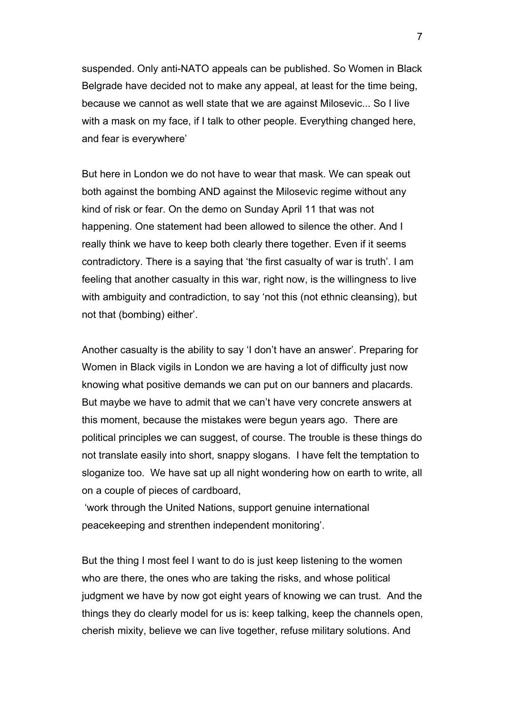suspended. Only anti-NATO appeals can be published. So Women in Black Belgrade have decided not to make any appeal, at least for the time being, because we cannot as well state that we are against Milosevic... So I live with a mask on my face, if I talk to other people. Everything changed here, and fear is everywhere'

But here in London we do not have to wear that mask. We can speak out both against the bombing AND against the Milosevic regime without any kind of risk or fear. On the demo on Sunday April 11 that was not happening. One statement had been allowed to silence the other. And I really think we have to keep both clearly there together. Even if it seems contradictory. There is a saying that 'the first casualty of war is truth'. I am feeling that another casualty in this war, right now, is the willingness to live with ambiguity and contradiction, to say 'not this (not ethnic cleansing), but not that (bombing) either'.

Another casualty is the ability to say 'I don't have an answer'. Preparing for Women in Black vigils in London we are having a lot of difficulty just now knowing what positive demands we can put on our banners and placards. But maybe we have to admit that we can't have very concrete answers at this moment, because the mistakes were begun years ago. There are political principles we can suggest, of course. The trouble is these things do not translate easily into short, snappy slogans. I have felt the temptation to sloganize too. We have sat up all night wondering how on earth to write, all on a couple of pieces of cardboard,

 'work through the United Nations, support genuine international peacekeeping and strenthen independent monitoring'.

But the thing I most feel I want to do is just keep listening to the women who are there, the ones who are taking the risks, and whose political judgment we have by now got eight years of knowing we can trust. And the things they do clearly model for us is: keep talking, keep the channels open, cherish mixity, believe we can live together, refuse military solutions. And